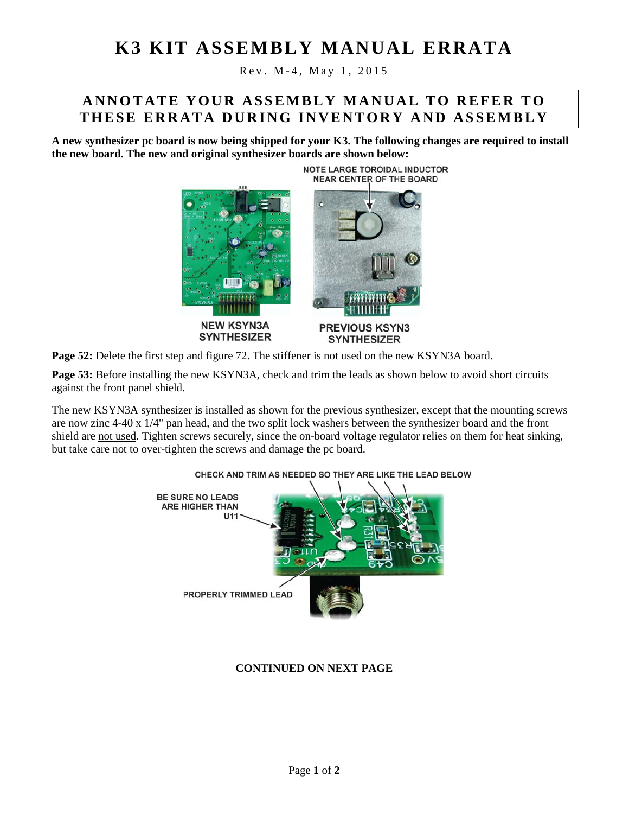# **K3 KIT ASSEMBLY MANUAL ERRATA**

Rev. M - 4 , M ay 1, 2015

## **ANNOTATE YOUR ASSEMBLY MANUAL TO REFER TO THESE ERRATA DURING INVENTORY AND ASSEMBLY**

**A new synthesizer pc board is now being shipped for your K3. The following changes are required to install the new board. The new and original synthesizer boards are shown below:**



**Page 52:** Delete the first step and figure 72. The stiffener is not used on the new KSYN3A board.

**Page 53:** Before installing the new KSYN3A, check and trim the leads as shown below to avoid short circuits against the front panel shield.

The new KSYN3A synthesizer is installed as shown for the previous synthesizer, except that the mounting screws are now zinc 4-40 x 1/4" pan head, and the two split lock washers between the synthesizer board and the front shield are not used. Tighten screws securely, since the on-board voltage regulator relies on them for heat sinking, but take care not to over-tighten the screws and damage the pc board.



#### CHECK AND TRIM AS NEEDED SO THEY ARE LIKE THE LEAD BELOW

#### **CONTINUED ON NEXT PAGE**